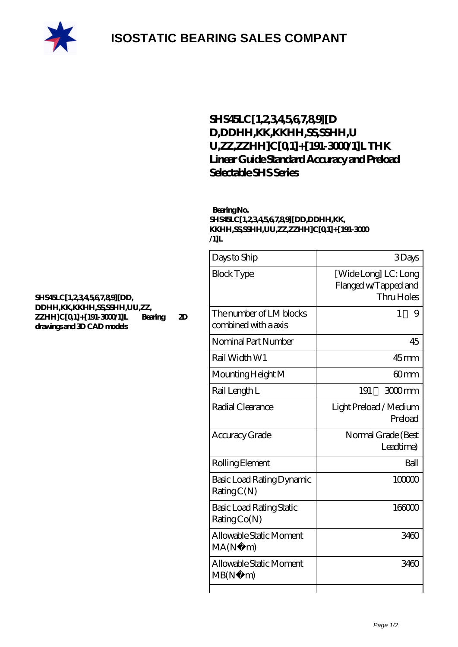

## **[SHS45LC\[1,2,3,4,5,6,7,8,9\]\[D](https://m.rebeccakeelingstudios.com/curved-linear-guide/shs45lc-1-2-3-4-5-6-7-8-9-dd-ddhh-kk-kkhh-ss-sshh-uu-zz-zzhh-c-0-1-191-3000-1-l.html) [D,DDHH,KK,KKHH,SS,SSHH,U](https://m.rebeccakeelingstudios.com/curved-linear-guide/shs45lc-1-2-3-4-5-6-7-8-9-dd-ddhh-kk-kkhh-ss-sshh-uu-zz-zzhh-c-0-1-191-3000-1-l.html) [U,ZZ,ZZHH\]C\[0,1\]+\[191-3000/1\]L THK](https://m.rebeccakeelingstudios.com/curved-linear-guide/shs45lc-1-2-3-4-5-6-7-8-9-dd-ddhh-kk-kkhh-ss-sshh-uu-zz-zzhh-c-0-1-191-3000-1-l.html) [Linear Guide Standard Accuracy and Preload](https://m.rebeccakeelingstudios.com/curved-linear-guide/shs45lc-1-2-3-4-5-6-7-8-9-dd-ddhh-kk-kkhh-ss-sshh-uu-zz-zzhh-c-0-1-191-3000-1-l.html) [Selectable SHS Series](https://m.rebeccakeelingstudios.com/curved-linear-guide/shs45lc-1-2-3-4-5-6-7-8-9-dd-ddhh-kk-kkhh-ss-sshh-uu-zz-zzhh-c-0-1-191-3000-1-l.html)**

## **Bearing No. SHS45LC[1,2,3,4,5,6,7,8,9][DD,DDHH,KK, KKHH,SS,SSHH,UU,ZZ,ZZHH]C[0,1]+[191-3000 /1]L**

| Days to Ship                                    | 3Days                                                      |
|-------------------------------------------------|------------------------------------------------------------|
| <b>Block Type</b>                               | [Wide Long] LC: Long<br>Flanged w/Tapped and<br>Thru Holes |
| The number of LM blocks<br>combined with a axis | 1<br>9                                                     |
| Nominal Part Number                             | 45                                                         |
| Rail Width W1                                   | 45mm                                                       |
| Mounting Height M                               | 60mm                                                       |
| Rail Length L                                   | 191<br>$3000$ mm                                           |
| Radial Clearance                                | Light Preload / Medium<br>Preload                          |
| Accuracy Grade                                  | Normal Grade (Best<br>Leadtime)                            |
| Rolling Element                                 | Ball                                                       |
| Basic Load Rating Dynamic<br>RatingC(N)         | 100000                                                     |
| Basic Load Rating Static<br>RatingCo(N)         | 166000                                                     |
| Allowable Static Moment<br>MA(N)<br>m)          | 3460                                                       |
| Allowable Static Moment<br>MB(N)<br>m)          | 3460                                                       |
|                                                 |                                                            |

## **[SHS45LC\[1,2,3,4,5,6,7,8,9\]\[DD,](https://m.rebeccakeelingstudios.com/pic-658995.html) [DDHH,KK,KKHH,SS,SSHH,UU,ZZ,](https://m.rebeccakeelingstudios.com/pic-658995.html) [ZZHH\]C\[0,1\]+\[191-3000/1\]L Bearing 2D](https://m.rebeccakeelingstudios.com/pic-658995.html) [drawings and 3D CAD models](https://m.rebeccakeelingstudios.com/pic-658995.html)**